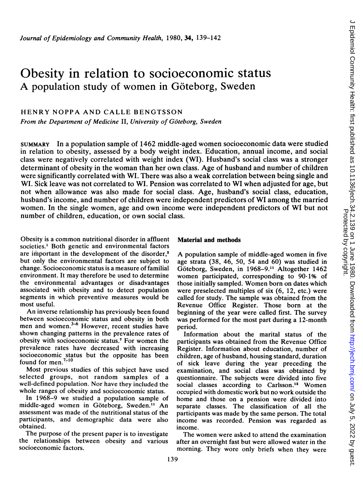# Obesity in relation to socioeconomic status A population study of women in Göteborg, Sweden

# HENRY NOPPA AND CALLE BENGTSSON

From the Department of Medicine II, University of Göteborg, Sweden

SUMMARY In <sup>a</sup> population sample of 1462 middle-aged women socioeconomic data were studied in relation to obesity, assessed by a body weight index. Education, annual income, and social class were negatively correlated with weight index (WI). Husband's social class was a stronger determinant of obesity in the woman than her own class. Age of husband and number of children were significantly correlated with WI. There was also a weak correlation between being single and WI. Sick leave was not correlated to WI. Pension was correlated to WI when adjusted for age, but not when allowance was also made for social class. Age, husband's social class, education, husband's income, and number of children were independent predictors of WI among the married women. In the single women, age and own income were independent predictors of WI but not number of children, education, or own social class.

Obesity is a common nutritional disorder in affluent societies.' Both genetic and environmental factors are important in the development of the disorder,<sup>2</sup> but only the environmental factors are subject to change. Socioeconomic status is a measure of familial environment. It may therefore be used to determine the environmental advantages or disadvantages associated with obesity and to detect population segments in which preventive measures would be most useful.

An inverse relationship has previously been found between socioeconomic status and obesity in both men and women.<sup>3-6</sup> However, recent studies have shown changing patterns in the prevalence rates of obesity with socioeconomic status.7 For women the prevalence rates have decreased with increasing socioeconomic status but the opposite has been found for men. $7-10$ 

Most previous studies of this subject have used selected groups, not random samples of a well-defined population. Nor have they included the whole ranges of obesity and socioeconomic status.

In 1968-9 we studied a population sample of middle-aged women in Göteborg, Sweden.<sup>11</sup> An assessment was made of the nutritional status of the participants, and demographic data were also obtained.

The purpose of the present paper is to investigate the relationships between obesity and various socioeconomic factors.

### Material and methods

A population sample of middle-aged women in five age strata (38, 46, 50, 54 and 60) was studied in Göteborg, Sweden, in 1968–9.<sup>11</sup> Altogether 1462 women participated, corresponding to 90.1% of those initially sampled. Women born on dates which were preselected multiples of six (6, 12, etc.) were called for study. The sample was obtained from the Revenue Office Register. Those born at the beginning of the year were called first. The survey was performed for the most part during a 12-month period.

Information about the marital status of the participants was obtained from the Revenue Office Register. Information about education, number of children, age of husband, housing standard, duration of sick leave during the year preceding the examination, and social class was obtained by questionnaire. The subjects were divided into five social classes according to Carlsson.<sup>12</sup> Women occupied with domestic work but no work outside the home and those on a pension were divided into separate classes. The classification of all the participants was made by the same person. The total income was recorded. Pension was regarded as income.

The women were asked to attend the examination after an overnight fast but were allowed water in the morning. They wore only briefs when they were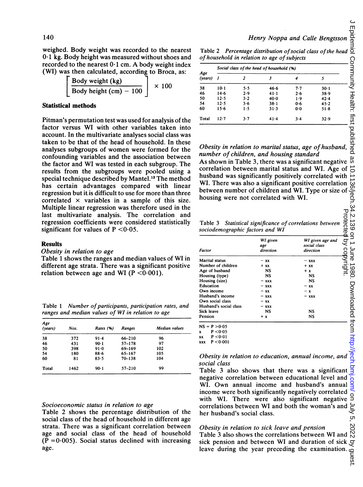weighed. Body weight was recorded to the nearest  $0.1$  kg. Body height was measured without shoes and recorded to the nearest  $0.1$  cm. A body weight index (WI) was then calculated, according to Broca, as:

> $\left| \begin{array}{c} \text{Body weight (kg)} \\ \text{X} \\ 100 \end{array} \right|$ Body height  $(cm) - 100$

# Statistical methods

Pitman's permutation test was used for analysis of the factor versus WI with other variables taken into account. In the multivariate analyses social class was taken to be that of the head of household. In these analyses subgroups of women were formed for the confounding variables and the association between the factor and WI was tested in each subgroup. The results from the subgroups were pooled using a special technique described by Mantel.<sup>13</sup> The method has certain advantages compared with linear regression but it, is difficult to use for more than three correlated  $\times$  variables in a sample of this size. Multiple linear regression was therefore used in the last multivariate analysis. The correlation and regression coefficients were considered statistically significant for values of  $P < 0.05$ .

# **Results**

Obesity in relation to age

Table <sup>1</sup> shows the ranges and median values of WI in different age strata. There was a significant positive relation between age and WI ( $P < 0.001$ ).

Table 1 Number of participants, participation rates, and ranges and median values of WI in relation to age

| Age<br>(years) | Nos. | Rates (%) | Ranges     | Median values |
|----------------|------|-----------|------------|---------------|
| 38             | 372  | $91 - 4$  | 66-210     | 96            |
| 46             | 431  | $90-1$    | $57 - 178$ | 97            |
| 50             | 398  | $91 - 0$  | 69-169     | 102           |
| 54             | 180  | $88 - 6$  | 65-167     | 105           |
| 60             | 81   | 83.5      | 70-138     | 104           |
| Total          | 1462 | $90-1$    | $57 - 210$ | 99            |

#### Socioeconomic status in relation to age

Table 2 shows the percentage distribution of the social class of the head of household in different age strata. There was a significant correlation between age and social class of the head of household  $(\bar{P} = 0.005)$ . Social status declined with increasing age.

Table 2 Percentage distribution of social class of the head of household in relation to age of subjects

|                |          |                | of household in relation to age of subjects    |     | Table 2 Percentage distribution of social class of the head |  |
|----------------|----------|----------------|------------------------------------------------|-----|-------------------------------------------------------------|--|
| Age<br>(years) |          | $\overline{c}$ | Social class of the head of household (%)<br>3 | 4   | 5                                                           |  |
| 38             | $10-1$   | 5.5            | 46.6                                           | 7.7 | $30 - 1$                                                    |  |
| 46             | $14 - 6$ | 2.9            | 41.1                                           | 2.6 | 38.9                                                        |  |
| 50             | $12 - 5$ | $3 - 2$        | $40-0$                                         | 1.9 | 42.4                                                        |  |
| 54             | 12.5     | $3 - 6$        | 38.1                                           | 0.6 | 45.2                                                        |  |
| 60             | $15-6$   | 1.5            | $31-3$                                         | 0.0 | $51-8$                                                      |  |
| Total          | $12 - 7$ | $3 - 7$        | 41.4                                           | 3.4 | 32.9                                                        |  |

Obesity in relation to marital status, age of husband, number of children, and housing standard

As shown in Table 3, there was a significant negative correlation between marital status and WI. Age of husband was significantly positively correlated with WI. There was also a significant positive correlation housing were not correlated with WI.

Table 3 Statistical significance of correlations between sociodemographic factors and WI

| sociodemographic factors and WI                                                                                       |                              | Table 3 Statistical significance of correlations between                                                                                                                                                                                                                                                                                                    | 2.139 on 1 June 1980. Downloaded from http:<br>129 on 1 June 1980. Downloaded from http: |
|-----------------------------------------------------------------------------------------------------------------------|------------------------------|-------------------------------------------------------------------------------------------------------------------------------------------------------------------------------------------------------------------------------------------------------------------------------------------------------------------------------------------------------------|------------------------------------------------------------------------------------------|
|                                                                                                                       | WI given<br>age<br>direction | WI given age and<br>social class<br>direction                                                                                                                                                                                                                                                                                                               |                                                                                          |
| Factor                                                                                                                |                              |                                                                                                                                                                                                                                                                                                                                                             |                                                                                          |
| <b>Marital status</b>                                                                                                 | $-xx$                        | $-$ XXX                                                                                                                                                                                                                                                                                                                                                     |                                                                                          |
| Number of children                                                                                                    | $+ xx$                       | $+ xx$                                                                                                                                                                                                                                                                                                                                                      |                                                                                          |
| Age of husband                                                                                                        | NS                           | $+ x$                                                                                                                                                                                                                                                                                                                                                       |                                                                                          |
| Housing (type)                                                                                                        | NS                           | NS                                                                                                                                                                                                                                                                                                                                                          |                                                                                          |
| Housing (size)                                                                                                        | $-$ xxx                      | NS                                                                                                                                                                                                                                                                                                                                                          |                                                                                          |
| Education                                                                                                             | - xxx                        | $-xx$                                                                                                                                                                                                                                                                                                                                                       |                                                                                          |
| Own income                                                                                                            | $-xx$                        | $- x$                                                                                                                                                                                                                                                                                                                                                       |                                                                                          |
| Husband's income                                                                                                      | $-$ xxx                      | $-$ xxx                                                                                                                                                                                                                                                                                                                                                     |                                                                                          |
| Own social class                                                                                                      | $-xx$                        |                                                                                                                                                                                                                                                                                                                                                             |                                                                                          |
| Husband's social class                                                                                                | $-$ xxx                      |                                                                                                                                                                                                                                                                                                                                                             |                                                                                          |
| Sick leave<br>Pension                                                                                                 | NS<br>$+ x$                  | NS<br>NS                                                                                                                                                                                                                                                                                                                                                    |                                                                                          |
| $NS = P > 0.05$<br>P < 0.05<br>x<br>P < 0.01<br>XX<br>P < 0.001<br><b>XXX</b>                                         |                              |                                                                                                                                                                                                                                                                                                                                                             |                                                                                          |
| social class<br>WI. Own<br>with<br>her husband's social class.                                                        |                              | Obesity in relation to education, annual income, and<br>Table 3 also shows that there was a significant<br>negative correlation between educational level and<br>annual income and husband's annual<br>income were both significantly negatively correlated<br>WI. There were also significant negative<br>correlations between WI and both the woman's and | July 5,                                                                                  |
| Obesity in relation to sick leave and pension<br>leave during the year preceding the examination. $\overline{\omega}$ |                              | Table 3 also shows the correlations between WI and<br>sick pension and between WI and duration of sick g                                                                                                                                                                                                                                                    |                                                                                          |

 $NS = P > 0.05$ 

## Obesity in relation to education, annual income, and social class

# Obesity in relation to sick leave and pension

Table <sup>3</sup> also shows the correlations between WI and sick pension and between WI and duration of sick  $\frac{1}{2}$ <br>leave during the year preceding the examination.  $\frac{1}{2}$ <br>leave during the year preceding the examination.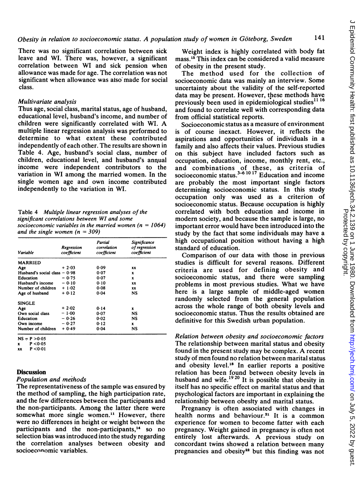There was no significant correlation between sick leave and WI. There was, however, a significant correlation between WI and sick pension when allowance was made for age. The correlation was not significant when allowance was also made for social class.

### Multivariate analysis

Thus age, social class, marital status, age of husband, educational level, husband's income, and number of children were significantly correlated with WI. A multiple linear regression analysis was performed to determine to what extent these contributed independently of each other. The results are shown in Table 4. Age, husband's social class, number of children, educational level, and husband's annual income were independent contributors to the variation in WI among the married women. In the single women age and own income contributed independently to the variation in WI.

Table 4 Multiple linear regression analyses of the significant correlations between WI and some socioeconomic variables in the married women ( $n = 1064$ ) and the single women  $(n = 309)$ 

| Variable                       | Regression<br>coefficient | Partial<br>correlation<br>coefficient | Significance<br>of regression<br>coefficient |
|--------------------------------|---------------------------|---------------------------------------|----------------------------------------------|
| MARRIED                        |                           |                                       |                                              |
| Age                            | $+2.03$                   | 0.09                                  | XX                                           |
| Husband's social class $-0.98$ |                           | 0.07                                  | x                                            |
| Education                      | $-0.75$                   | 0.07                                  | x                                            |
| Husband's income               | $-0.10$                   | 0.10                                  | XX                                           |
| Number of children             | $+1.02$                   | 0.08                                  | XX                                           |
| Age of husband                 | $+0.12$                   | 0.04                                  | NS                                           |
| <b>SINGLE</b>                  |                           |                                       |                                              |
| Age                            | $+2.02$                   | 0.14                                  | x                                            |
| Own social class               | $-1.00$                   | 0.07                                  | NS                                           |
| Education                      | $-0.26$                   | 0.02                                  | NS                                           |
| Own income                     | $-0.27$                   | 0.12                                  | x                                            |
| Number of children             | $+0.49$                   | 0.04                                  | NS                                           |
|                                |                           |                                       |                                              |

 $NS = P > 0.05$ 

 $P < 0.05$ 

 $P < 0.01$ 

#### **Discussion**

## Population and methods

The representativeness of the sample was ensured by the method of sampling, the high participation rate, and the few differences between the participants and the non-participants. Among the latter there were somewhat more single women.<sup>11</sup> However, there were no differences in height or weight between the participants and the non-participants,'4 so no selection bias was introduced into the study regarding the correlation analyses between obesity and socioeconomic variables.

Weight index is highly correlated with body fat mass.'5 This index can be considered a valid measure of obesity in the present study.

The method used for the collection of socioeconomic data was mainly an interview. Some uncertainty about the validity of the self-reported data may be present. However, these methods have previously been used in epidemiological studies<sup>11 16</sup> and found to correlate well with corresponding data from official statistical reports.

Socioeconomic status as a measure of environment is of course inexact. However, it reflects the aspirations and opportunities of individuals in a family and also affects their values. Previous studies on this subject have included factors such as occupation, education, income, monthly rent, etc., and combinations of these, as criteria of socioeconomic status.<sup> $3-61017$ </sup> Education and income are probably the most important single factors determining socioeconomic status. In this study occupation only was used as a criterion of socioeconomic status. Because occupation is highly correlated with both education and income in modern society, and because the sample is large, no important error would have been introduced into the study by the fact that some individuals may have a high occupational position without having a high standard of education.

Comparison of our data with those in previous studies is difficult for several reasons. Different criteria are used for defining obesity and socioeconomic status, and there were sampling problems in most previous studies. What we have here is <sup>a</sup> large sample of middle-aged women randomly selected from the general population across the whole range of both obesity levels and socioeconomic status. Thus the results obtained are definitive for this Swedish urban population.

Relation between obesity and socioeconomic factors The relationship between marital status and obesity found in the present study may be complex. A recent study of men found no relation between marital status and obesity level.'8 In earlier reports a positive relation has been found between obesity levels in husband and wife. $1920$  It is possible that obesity in itself has no specific effect on marital status and that psychological factors are important in explaining the relationship between obesity and marital status.

Pregnancy is often associated with changes in health norms and behaviour.<sup>21</sup> It is a common experience for women to become fatter with each pregnancy. Weight gained in pregnancy is often not entirely lost afterwards. A previous study on concordant twins showed a relation between many pregnancies and obesity<sup>22</sup> but this finding was not